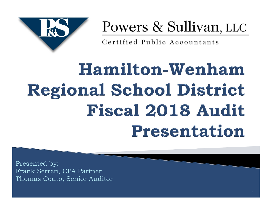

## Powers & Sullivan, LLC

Certified Public Accountants

# Hamilton-Wenham **Regional School District Fiscal 2018 Audit** Presentation

Presented by: Frank Serreti, CPA Partner Thomas Couto, Senior Auditor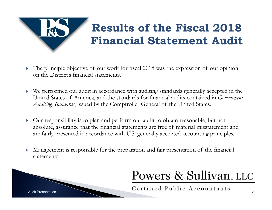

- The principle objective of our work for fiscal 2018 was the expression of our opinion on the District's financial statements.
- We performed our audit in accordance with auditing standards generally accepted in the United States of America, and the standards for financial audits contained in *Government Auditing Standards*, issued by the Comptroller General of the United States.
- Our responsibility is to plan and perform our audit to obtain reasonable, but not absolute, assurance that the financial statements are free of material misstatement and are fairly presented in accordance with U.S. generally accepted accounting principles.
- Management is responsible for the preparation and fair presentation of the financial statements.



#### Powers & Sullivan, LLC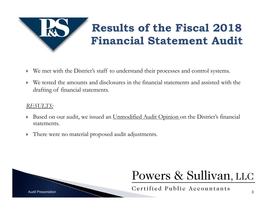

#### **Results of the Fiscal 2018 Financial Statement Audit**

- We met with the District's staff to understand their processes and control systems.
- We tested the amounts and disclosures in the financial statements and assisted with the drafting of financial statements.

#### *RESULTS:*

- $\blacktriangleright$ Based on our audit, we issued an Unmodified Audit Opinion on the District's financial statements.
- $\blacktriangleright$ There were no material proposed audit adjustments.



#### Powers & Sullivan, LLC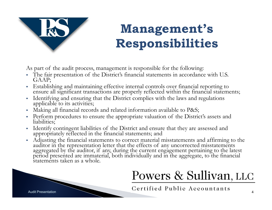

### **Management's Responsibilities**

As part of the audit process, management is responsible for the following:

- The fair presentation of the District's financial statements in accordance with U.S. GAAP;
- · Establishing and maintaining effective internal controls over financial reporting to ensure all significant transactions are properly reflected within the financial statements;
- Identifying and ensuring that the District complies with the laws and regulations applicable to its activities;
- Ε Making all financial records and related information available to P&S;
- Perform procedures to ensure the appropriate valuation of the District's assets and liabilities;
- Identify contingent liabilities of the District and ensure that they are assessed and appropriately reflected in the financial statements; and
- Adjusting the financial statements to correct material misstatements and affirming to the auditor in the representation letter that the effects of any uncorrected misstatements<br>aggregated by the auditor, if any, during the current engagement pertaining to the latest<br>period presented are immaterial, both individ

#### Powers & Sullivan, LLC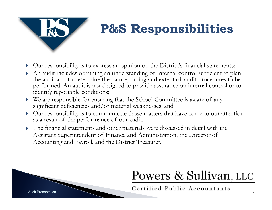

### **P&S Responsibilities**

- Our responsibility is to express an opinion on the District's financial statements;
- An audit includes obtaining an understanding of internal control sufficient to plan the audit and to determine the nature, timing and extent of audit procedures to be performed. An audit is not designed to provide assurance on internal control or to identify reportable conditions;
- We are responsible for ensuring that the School Committee is aware of any significant deficiencies and/or material weaknesses; and
- Our responsibility is to communicate those matters that have come to our attention as a result of the performance of our audit.
- The financial statements and other materials were discussed in detail with the Assistant Superintendent of Finance and Administration, the Director of Accounting and Payroll, and the District Treasurer.



### Powers & Sullivan, LLC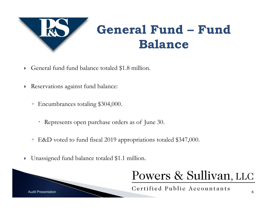

#### **General Fund – Fund Balance**

- General fund fund balance totaled \$1.8 million.
- Reservations against fund balance:
	- Encumbrances totaling \$304,000.
		- Represents open purchase orders as of June 30.
	- E&D voted to fund fiscal 2019 appropriations totaled \$347,000.
- $\blacktriangleright$ Unassigned fund balance totaled \$1.1 million.

#### Powers & Sullivan, LLC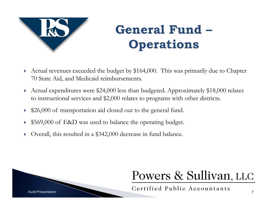

### **General Fund –Operations**

- $\blacktriangleright$  Actual revenues exceeded the budget by \$164,000. This was primarily due to Chapter 70 State Aid, and Medicaid reimbursements.
- Þ Actual expenditures were \$24,000 less than budgeted. Approximately \$18,000 relates to instructional services and \$2,000 relates to programs with other districts.
- $\blacktriangleright$ \$26,000 of transportation aid closed out to the general fund.
- Þ \$569,000 of E&D was used to balance the operating budget.
- Þ Overall, this resulted in a \$342,000 decrease in fund balance.



#### Powers & Sullivan, LLC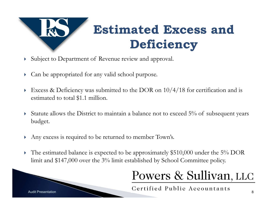

- Subject to Department of Revenue review and approval.
- Þ Can be appropriated for any valid school purpose.
- Þ Excess & Deficiency was submitted to the DOR on 10/4/18 for certification and is estimated to total \$1.1 million.
- $\blacktriangleright$  Statute allows the District to maintain a balance not to exceed 5% of subsequent years budget.
- $\blacktriangleright$ Any excess is required to be returned to member Town's.
- Þ The estimated balance is expected to be approximately \$510,000 under the 5% DOR limit and \$147,000 over the 3% limit established by School Committee policy.

#### Powers & Sullivan, LLC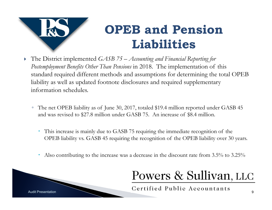

### **OPEB and Pension Liabilities**

- ▶ The District implemented *GASB 75 Accounting and Financial Reporting for Postemployment Benefits Other Than Pensions* in 2018. The implementation of this standard required different methods and assumptions for determining the total OPEB liability as well as updated footnote disclosures and required supplementary information schedules.
	- The net OPEB liability as of June 30, 2017, totaled \$19.4 million reported under GASB 45 and was revised to \$27.8 million under GASB 75. An increase of \$8.4 million.
		- This increase is mainly due to GASB 75 requiring the immediate recognition of the OPEB liability vs. GASB 45 requiring the recognition of the OPEB liability over 30 years.
		- $\bullet$ Also contributing to the increase was a decrease in the discount rate from 3.5% to 3.25%

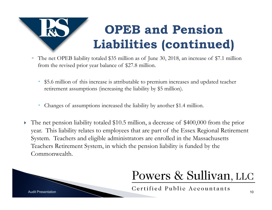# **OPEB and Pension Liabilities (continued)**

- The net OPEB liability totaled \$35 million as of June 30, 2018, an increase of \$7.1 million from the revised prior year balance of \$27.8 million.
	- $\bullet$  \$5.6 million of this increase is attributable to premium increases and updated teacher retirement assumptions (increasing the liability by \$5 million).
	- $\bullet$ Changes of assumptions increased the liability by another \$1.4 million.
- The net pension liability totaled \$10.5 million, a decrease of \$400,000 from the prior year. This liability relates to employees that are part of the Essex Regional Retirement System. Teachers and eligible administrators are enrolled in the Massachusetts Teachers Retirement System, in which the pension liability is funded by the Commonwealth.

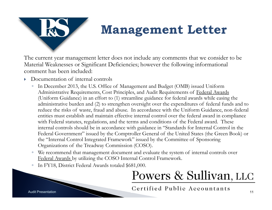

#### **Management Letter**

The current year management letter does not include any comments that we consider to be Material Weaknesses or Significant Deficiencies; however the following informational comment has been included:

- ▶ Documentation of internal controls
	- In December 2013, the U.S. Office of Management and Budget (OMB) issued Uniform Administrative Requirements, Cost Principles, and Audit Requirements of Federal Awards (Uniform Guidance) in an effort to (1) streamline guidance for federal awards while easing the administrative burden and (2) to strengthen oversight over the expenditures of federal funds and to reduce the risks of waste, fraud and abuse. In accordance with the Uniform Guidance, non-federal entities must establish and maintain effective internal control over the federal award in compliance with Federal statutes, regulations, and the terms and conditions of the Federal award. These internal controls should be in accordance with guidance in "Standards for Internal Control in the Federal Government" issued by the Comptroller General of the United States (the Green Book) or the "Internal Control Integrated Framework" issued by the Committee of Sponsoring Organizations of the Treadway Commission (COSO).
	- We recommend that management document and evaluate the system of internal controls over Federal Awards by utilizing the COSO Internal Control Framework.
	- In FY18, District Federal Awards totaled \$681,000.

#### Powers & Sullivan, LLC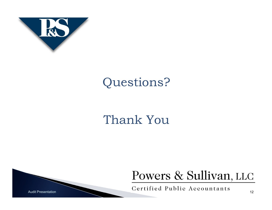

#### Questions?

#### Thank You

#### Powers & Sullivan, LLC

Audit Presentation Certified Public Accountants 12